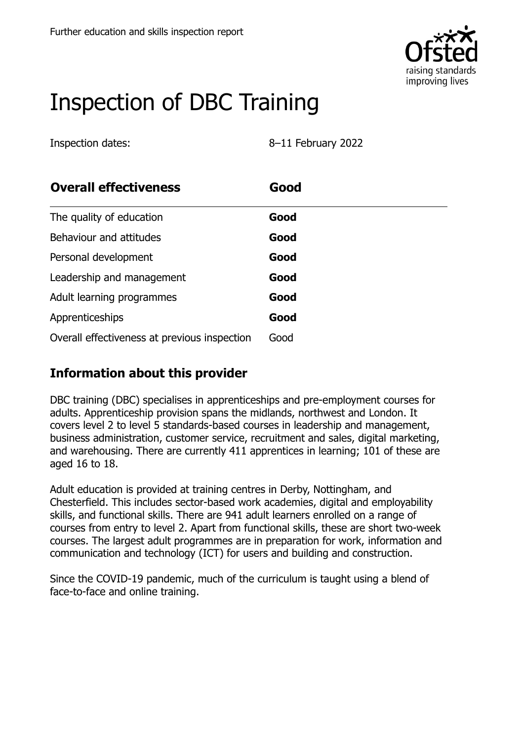

# Inspection of DBC Training

Inspection dates: 8–11 February 2022

| <b>Overall effectiveness</b>                 | Good |  |
|----------------------------------------------|------|--|
| The quality of education                     | Good |  |
| Behaviour and attitudes                      | Good |  |
| Personal development                         | Good |  |
| Leadership and management                    | Good |  |
| Adult learning programmes                    | Good |  |
| Apprenticeships                              | Good |  |
| Overall effectiveness at previous inspection | Good |  |

#### **Information about this provider**

DBC training (DBC) specialises in apprenticeships and pre-employment courses for adults. Apprenticeship provision spans the midlands, northwest and London. It covers level 2 to level 5 standards-based courses in leadership and management, business administration, customer service, recruitment and sales, digital marketing, and warehousing. There are currently 411 apprentices in learning; 101 of these are aged 16 to 18.

Adult education is provided at training centres in Derby, Nottingham, and Chesterfield. This includes sector-based work academies, digital and employability skills, and functional skills. There are 941 adult learners enrolled on a range of courses from entry to level 2. Apart from functional skills, these are short two-week courses. The largest adult programmes are in preparation for work, information and communication and technology (ICT) for users and building and construction.

Since the COVID-19 pandemic, much of the curriculum is taught using a blend of face-to-face and online training.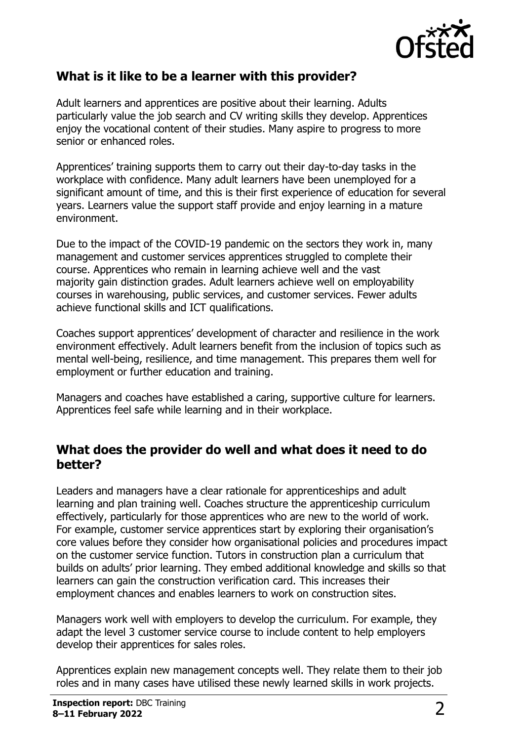

### **What is it like to be a learner with this provider?**

Adult learners and apprentices are positive about their learning. Adults particularly value the job search and CV writing skills they develop. Apprentices enjoy the vocational content of their studies. Many aspire to progress to more senior or enhanced roles.

Apprentices' training supports them to carry out their day-to-day tasks in the workplace with confidence. Many adult learners have been unemployed for a significant amount of time, and this is their first experience of education for several years. Learners value the support staff provide and enjoy learning in a mature environment.

Due to the impact of the COVID-19 pandemic on the sectors they work in, many management and customer services apprentices struggled to complete their course. Apprentices who remain in learning achieve well and the vast majority gain distinction grades. Adult learners achieve well on employability courses in warehousing, public services, and customer services. Fewer adults achieve functional skills and ICT qualifications.

Coaches support apprentices' development of character and resilience in the work environment effectively. Adult learners benefit from the inclusion of topics such as mental well-being, resilience, and time management. This prepares them well for employment or further education and training.

Managers and coaches have established a caring, supportive culture for learners. Apprentices feel safe while learning and in their workplace.

#### **What does the provider do well and what does it need to do better?**

Leaders and managers have a clear rationale for apprenticeships and adult learning and plan training well. Coaches structure the apprenticeship curriculum effectively, particularly for those apprentices who are new to the world of work. For example, customer service apprentices start by exploring their organisation's core values before they consider how organisational policies and procedures impact on the customer service function. Tutors in construction plan a curriculum that builds on adults' prior learning. They embed additional knowledge and skills so that learners can gain the construction verification card. This increases their employment chances and enables learners to work on construction sites.

Managers work well with employers to develop the curriculum. For example, they adapt the level 3 customer service course to include content to help employers develop their apprentices for sales roles.

Apprentices explain new management concepts well. They relate them to their job roles and in many cases have utilised these newly learned skills in work projects.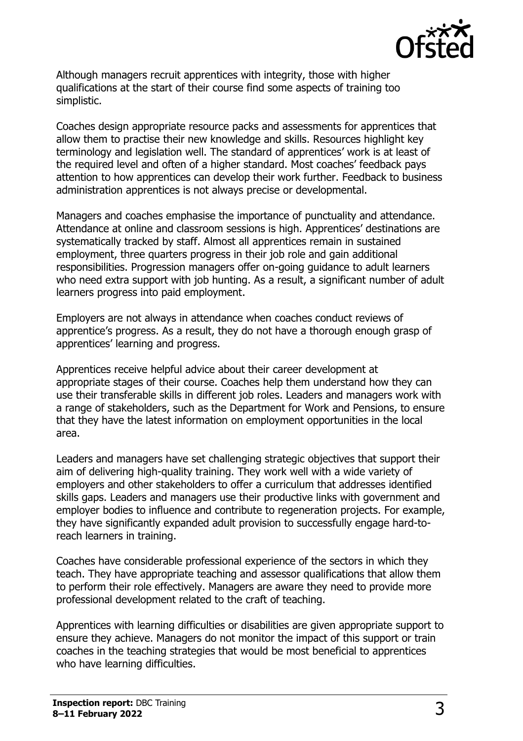

Although managers recruit apprentices with integrity, those with higher qualifications at the start of their course find some aspects of training too simplistic.

Coaches design appropriate resource packs and assessments for apprentices that allow them to practise their new knowledge and skills. Resources highlight key terminology and legislation well. The standard of apprentices' work is at least of the required level and often of a higher standard. Most coaches' feedback pays attention to how apprentices can develop their work further. Feedback to business administration apprentices is not always precise or developmental.

Managers and coaches emphasise the importance of punctuality and attendance. Attendance at online and classroom sessions is high. Apprentices' destinations are systematically tracked by staff. Almost all apprentices remain in sustained employment, three quarters progress in their job role and gain additional responsibilities. Progression managers offer on-going guidance to adult learners who need extra support with job hunting. As a result, a significant number of adult learners progress into paid employment.

Employers are not always in attendance when coaches conduct reviews of apprentice's progress. As a result, they do not have a thorough enough grasp of apprentices' learning and progress.

Apprentices receive helpful advice about their career development at appropriate stages of their course. Coaches help them understand how they can use their transferable skills in different job roles. Leaders and managers work with a range of stakeholders, such as the Department for Work and Pensions, to ensure that they have the latest information on employment opportunities in the local area.

Leaders and managers have set challenging strategic objectives that support their aim of delivering high-quality training. They work well with a wide variety of employers and other stakeholders to offer a curriculum that addresses identified skills gaps. Leaders and managers use their productive links with government and employer bodies to influence and contribute to regeneration projects. For example, they have significantly expanded adult provision to successfully engage hard-toreach learners in training.

Coaches have considerable professional experience of the sectors in which they teach. They have appropriate teaching and assessor qualifications that allow them to perform their role effectively. Managers are aware they need to provide more professional development related to the craft of teaching.

Apprentices with learning difficulties or disabilities are given appropriate support to ensure they achieve. Managers do not monitor the impact of this support or train coaches in the teaching strategies that would be most beneficial to apprentices who have learning difficulties.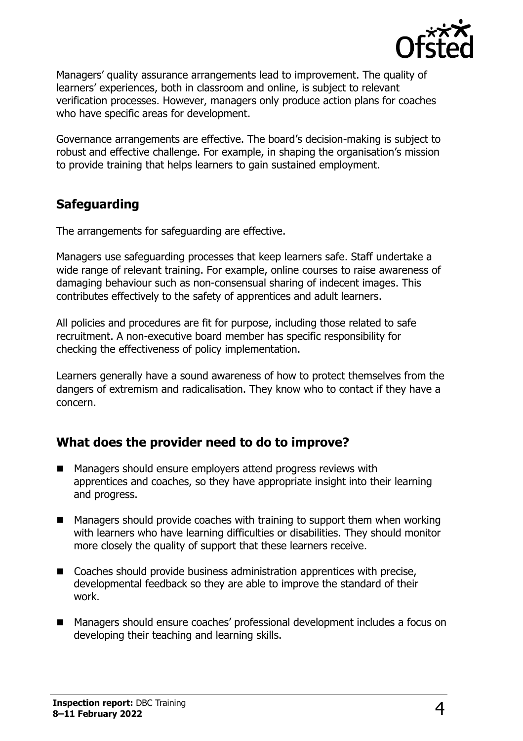

Managers' quality assurance arrangements lead to improvement. The quality of learners' experiences, both in classroom and online, is subject to relevant verification processes. However, managers only produce action plans for coaches who have specific areas for development.

Governance arrangements are effective. The board's decision-making is subject to robust and effective challenge. For example, in shaping the organisation's mission to provide training that helps learners to gain sustained employment.

#### **Safeguarding**

The arrangements for safeguarding are effective.

Managers use safeguarding processes that keep learners safe. Staff undertake a wide range of relevant training. For example, online courses to raise awareness of damaging behaviour such as non-consensual sharing of indecent images. This contributes effectively to the safety of apprentices and adult learners.

All policies and procedures are fit for purpose, including those related to safe recruitment. A non-executive board member has specific responsibility for checking the effectiveness of policy implementation.

Learners generally have a sound awareness of how to protect themselves from the dangers of extremism and radicalisation. They know who to contact if they have a concern.

#### **What does the provider need to do to improve?**

- Managers should ensure employers attend progress reviews with apprentices and coaches, so they have appropriate insight into their learning and progress.
- Managers should provide coaches with training to support them when working with learners who have learning difficulties or disabilities. They should monitor more closely the quality of support that these learners receive.
- Coaches should provide business administration apprentices with precise, developmental feedback so they are able to improve the standard of their work.
- Managers should ensure coaches' professional development includes a focus on developing their teaching and learning skills.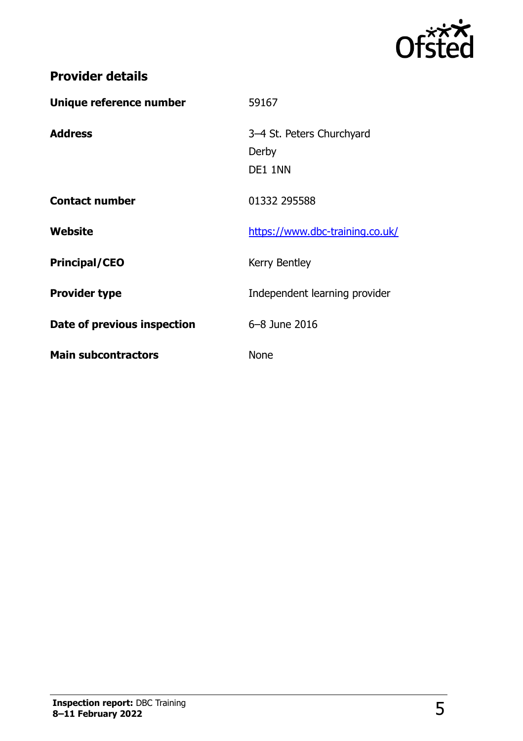

## **Provider details**

| Unique reference number     | 59167                                         |
|-----------------------------|-----------------------------------------------|
| <b>Address</b>              | 3-4 St. Peters Churchyard<br>Derby<br>DE1 1NN |
| <b>Contact number</b>       | 01332 295588                                  |
| Website                     | https://www.dbc-training.co.uk/               |
| <b>Principal/CEO</b>        | Kerry Bentley                                 |
| <b>Provider type</b>        | Independent learning provider                 |
| Date of previous inspection | 6-8 June 2016                                 |
| <b>Main subcontractors</b>  | <b>None</b>                                   |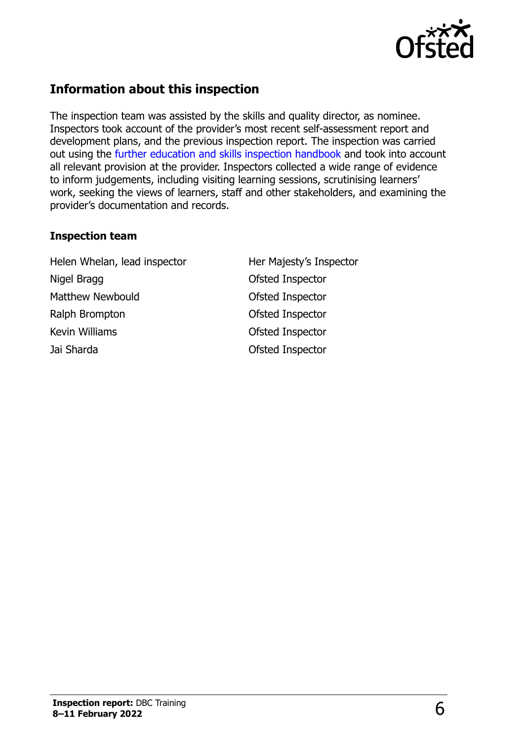

### **Information about this inspection**

The inspection team was assisted by the skills and quality director, as nominee. Inspectors took account of the provider's most recent self-assessment report and development plans, and the previous inspection report. The inspection was carried out using the [further education and skills inspection handbook](http://www.gov.uk/government/publications/further-education-and-skills-inspection-handbook-eif) and took into account all relevant provision at the provider. Inspectors collected a wide range of evidence to inform judgements, including visiting learning sessions, scrutinising learners' work, seeking the views of learners, staff and other stakeholders, and examining the provider's documentation and records.

#### **Inspection team**

Helen Whelan, lead inspector **Her Majesty's Inspector** Nigel Bragg Nigel Bragg Control Control of the Ofsted Inspector Matthew Newbould **Contract Contract Contract Contract Contract Contract Contract Contract Contract Contract Contract Contract Contract Contract Contract Contract Contract Contract Contract Contract Contract Contract Contra** Ralph Brompton **Calculation** Ofsted Inspector Kevin Williams **Contact Contact Contact Contact Contact Contact Contact Contact Contact Contact Contact Contact Contact Contact Contact Contact Contact Contact Contact Contact Contact Contact Contact Contact Contact Contac** Jai Sharda Ofsted Inspector